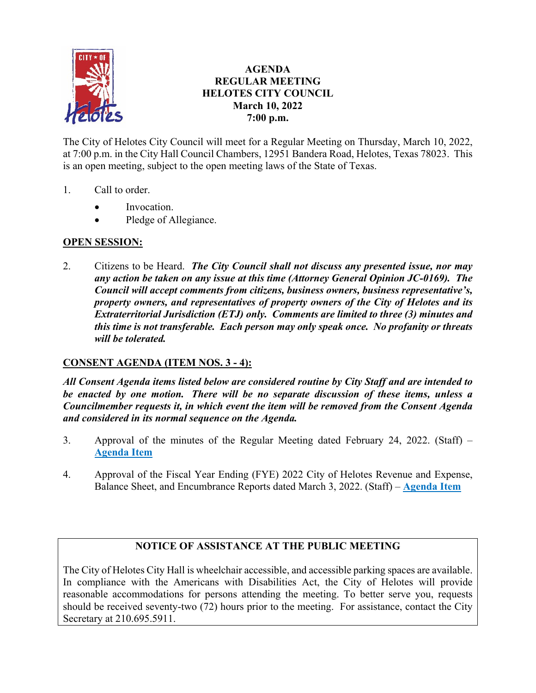

# **AGENDA REGULAR MEETING HELOTES CITY COUNCIL March 10, 2022 7:00 p.m.**

The City of Helotes City Council will meet for a Regular Meeting on Thursday, March 10, 2022, at 7:00 p.m. in the City Hall Council Chambers, 12951 Bandera Road, Helotes, Texas 78023. This is an open meeting, subject to the open meeting laws of the State of Texas.

- 1. Call to order.
	- Invocation.
	- Pledge of Allegiance.

# **OPEN SESSION:**

2. Citizens to be Heard. *The City Council shall not discuss any presented issue, nor may any action be taken on any issue at this time (Attorney General Opinion JC-0169). The Council will accept comments from citizens, business owners, business representative's, property owners, and representatives of property owners of the City of Helotes and its Extraterritorial Jurisdiction (ETJ) only. Comments are limited to three (3) minutes and this time is not transferable. Each person may only speak once. No profanity or threats will be tolerated.*

# **CONSENT AGENDA (ITEM NOS. 3 - 4):**

*All Consent Agenda items listed below are considered routine by City Staff and are intended to be enacted by one motion. There will be no separate discussion of these items, unless a Councilmember requests it, in which event the item will be removed from the Consent Agenda and considered in its normal sequence on the Agenda.*

- 3. Approval of the minutes of the Regular Meeting dated February 24, 2022. (Staff) **[Agenda Item](https://helotes-tx.gov/wp-content/uploads/2022/03/3-Minutes.pdf)**
- 4. Approval of the Fiscal Year Ending (FYE) 2022 City of Helotes Revenue and Expense, Balance Sheet, and Encumbrance Reports dated March 3, 2022. (Staff) – **[Agenda Item](https://helotes-tx.gov/wp-content/uploads/2022/03/4-Financials.pdf)**

# **NOTICE OF ASSISTANCE AT THE PUBLIC MEETING**

The City of Helotes City Hall is wheelchair accessible, and accessible parking spaces are available. In compliance with the Americans with Disabilities Act, the City of Helotes will provide reasonable accommodations for persons attending the meeting. To better serve you, requests should be received seventy-two (72) hours prior to the meeting. For assistance, contact the City Secretary at 210.695.5911.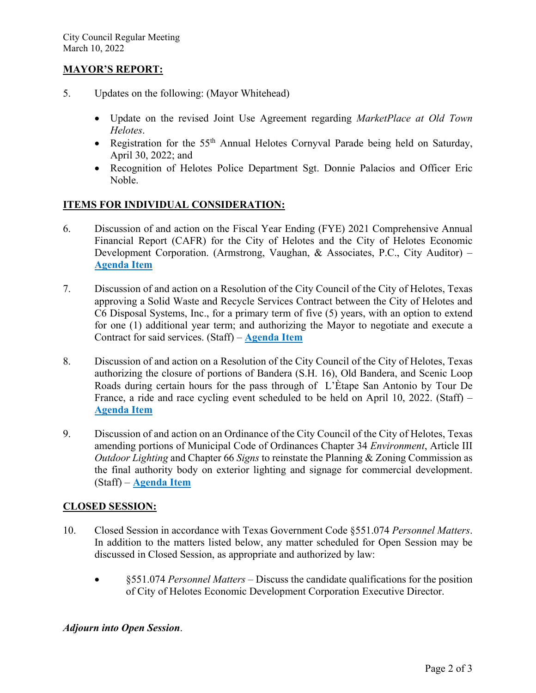### **MAYOR'S REPORT:**

- 5. Updates on the following: (Mayor Whitehead)
	- Update on the revised Joint Use Agreement regarding *MarketPlace at Old Town Helotes*.
	- Registration for the 55<sup>th</sup> Annual Helotes Cornyval Parade being held on Saturday, April 30, 2022; and
	- Recognition of Helotes Police Department Sgt. Donnie Palacios and Officer Eric Noble.

### **ITEMS FOR INDIVIDUAL CONSIDERATION:**

- 6. Discussion of and action on the Fiscal Year Ending (FYE) 2021 Comprehensive Annual Financial Report (CAFR) for the City of Helotes and the City of Helotes Economic Development Corporation. (Armstrong, Vaughan, & Associates, P.C., City Auditor) – **[Agenda Item](https://helotes-tx.gov/wp-content/uploads/2022/03/6-Audit-FYE-2021.pdf)**
- 7. Discussion of and action on a Resolution of the City Council of the City of Helotes, Texas approving a Solid Waste and Recycle Services Contract between the City of Helotes and C6 Disposal Systems, Inc., for a primary term of five (5) years, with an option to extend for one (1) additional year term; and authorizing the Mayor to negotiate and execute a Contract for said services. (Staff) – **[Agenda Item](https://helotes-tx.gov/wp-content/uploads/2022/03/7-RFP-Solid-Waste.pdf)**
- 8. Discussion of and action on a Resolution of the City Council of the City of Helotes, Texas authorizing the closure of portions of Bandera (S.H. 16), Old Bandera, and Scenic Loop Roads during certain hours for the pass through of L'Ètape San Antonio by Tour De France, a ride and race cycling event scheduled to be held on April 10, 2022. (Staff) – **[Agenda](https://helotes-tx.gov/wp-content/uploads/2022/03/8-LEtape-Cycling.pdf) Item**
- 9. Discussion of and action on an Ordinance of the City Council of the City of Helotes, Texas amending portions of Municipal Code of Ordinances Chapter 34 *Environment*, Article III *Outdoor Lighting* and Chapter 66 *Signs* to reinstate the Planning & Zoning Commission as the final authority body on exterior lighting and signage for commercial development. (Staff) – **[Agenda Item](https://helotes-tx.gov/wp-content/uploads/2022/03/9-PZ-Authority.pdf)**

#### **CLOSED SESSION:**

- 10. Closed Session in accordance with Texas Government Code §551.074 *Personnel Matters*. In addition to the matters listed below, any matter scheduled for Open Session may be discussed in Closed Session, as appropriate and authorized by law:
	- §551.074 *Personnel Matters* Discuss the candidate qualifications for the position of City of Helotes Economic Development Corporation Executive Director.

# *Adjourn into Open Session*.